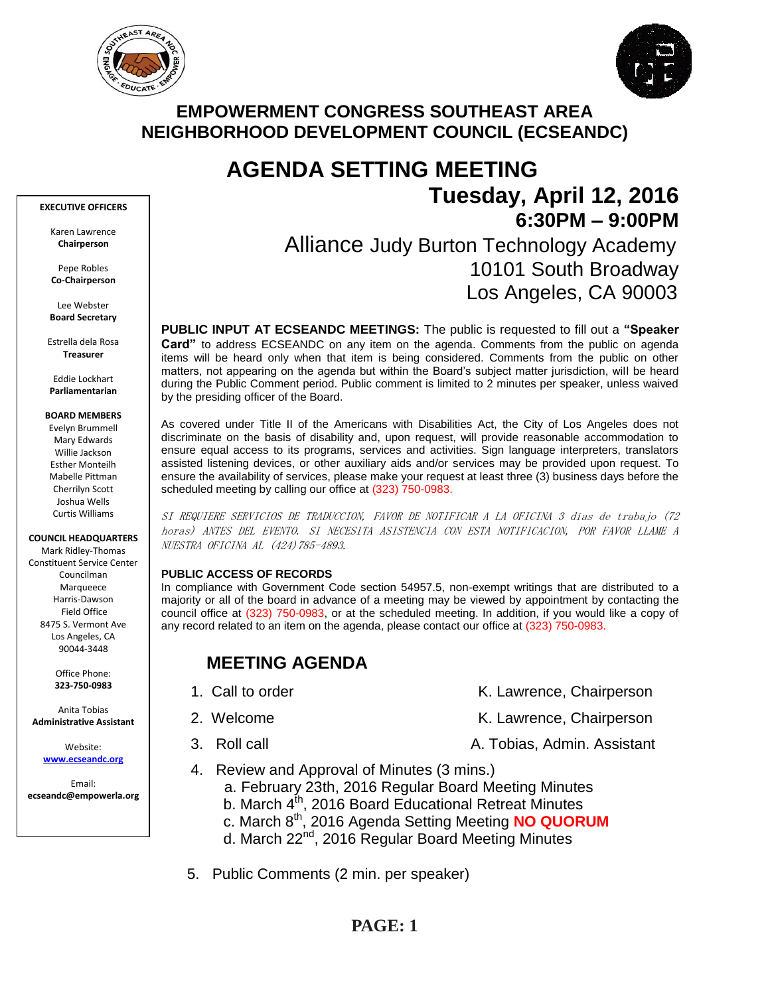



## **EMPOWERMENT CONGRESS SOUTHEAST AREA NEIGHBORHOOD DEVELOPMENT COUNCIL (ECSEANDC)**

# **AGENDA SETTING MEETING Tuesday, April 12, 2016 6:30PM – 9:00PM**

## Alliance Judy Burton Technology Academy 10101 South Broadway Los Angeles, CA 90003

**PUBLIC INPUT AT ECSEANDC MEETINGS:** The public is requested to fill out a **"Speaker Card"** to address ECSEANDC on any item on the agenda. Comments from the public on agenda items will be heard only when that item is being considered. Comments from the public on other matters, not appearing on the agenda but within the Board's subject matter jurisdiction, will be heard during the Public Comment period. Public comment is limited to 2 minutes per speaker, unless waived by the presiding officer of the Board.

As covered under Title II of the Americans with Disabilities Act, the City of Los Angeles does not discriminate on the basis of disability and, upon request, will provide reasonable accommodation to ensure equal access to its programs, services and activities. Sign language interpreters, translators assisted listening devices, or other auxiliary aids and/or services may be provided upon request. To ensure the availability of services, please make your request at least three (3) business days before the scheduled meeting by calling our office at (323) 750-0983.

SI REQUIERE SERVICIOS DE TRADUCCION, FAVOR DE NOTIFICAR A LA OFICINA 3 días de trabajo (72 horas) ANTES DEL EVENTO. SI NECESITA ASISTENCIA CON ESTA NOTIFICACION, POR FAVOR LLAME A NUESTRA OFICINA AL (424)785-4893.

#### **PUBLIC ACCESS OF RECORDS**

In compliance with Government Code section 54957.5, non-exempt writings that are distributed to a majority or all of the board in advance of a meeting may be viewed by appointment by contacting the council office at (323) 750-0983, or at the scheduled meeting. In addition, if you would like a copy of any record related to an item on the agenda, please contact our office at (323) 750-0983.

## **MEETING AGENDA**

- 1. Call to order The Call to order The Chairperson K. Lawrence, Chairperson
- 2. Welcome **K. Lawrence, Chairperson**
- 3. Roll call **A. Tobias, Admin. Assistant**
- 4. Review and Approval of Minutes (3 mins.)
	- a. February 23th, 2016 Regular Board Meeting Minutes
	- b. March  $4^{th}$ , 2016 Board Educational Retreat Minutes
	- c. March 8th, 2016 Agenda Setting Meeting **NO QUORUM**
		- d. March 22nd, 2016 Regular Board Meeting Minutes
- 5. Public Comments (2 min. per speaker)

#### **EXECUTIVE OFFICERS**

Karen Lawrence **Chairperson**

Pepe Robles **Co-Chairperson**

Lee Webster **Board Secretary**

Estrella dela Rosa **Treasurer**

Eddie Lockhart **Parliamentarian**

#### **BOARD MEMBERS**

Evelyn Brummell Mary Edwards Willie Jackson Esther Monteilh Mabelle Pittman Cherrilyn Scott Joshua Wells Curtis Williams

#### **COUNCIL HEADQUARTERS**

Mark Ridley-Thomas Constituent Service Center Councilman Marqueece Harris-Dawson Field Office 8475 S. Vermont Ave Los Angeles, CA 90044-3448

> Office Phone: **323-750-0983**

Anita Tobias **Administrative Assistant**

> Website: **[www.ecseandc.org](http://www.ecseandc.org/)**

Email: **ecseandc@empowerla.org**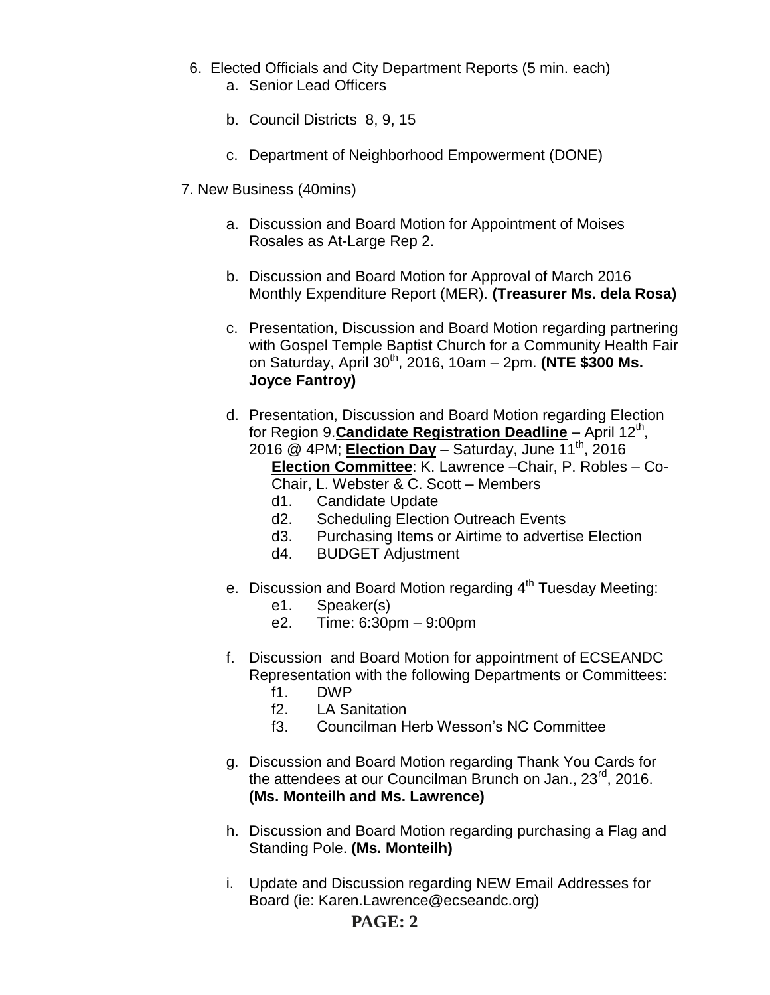- 6. Elected Officials and City Department Reports (5 min. each) a. Senior Lead Officers
	- b. Council Districts 8, 9, 15
	- c. Department of Neighborhood Empowerment (DONE)
- 7. New Business (40mins)
	- a. Discussion and Board Motion for Appointment of Moises Rosales as At-Large Rep 2.
	- b. Discussion and Board Motion for Approval of March 2016 Monthly Expenditure Report (MER). **(Treasurer Ms. dela Rosa)**
	- c. Presentation, Discussion and Board Motion regarding partnering with Gospel Temple Baptist Church for a Community Health Fair on Saturday, April 30th, 2016, 10am – 2pm. **(NTE \$300 Ms. Joyce Fantroy)**
	- d. Presentation, Discussion and Board Motion regarding Election for Region 9. **Candidate Registration Deadline** - April 12<sup>th</sup>, 2016 @ 4PM; **Election Day** – Saturday, June 11th, 2016 **Election Committee**: K. Lawrence –Chair, P. Robles – Co-Chair, L. Webster & C. Scott – Members
		- d1. Candidate Update
		- d2. Scheduling Election Outreach Events
		- d3. Purchasing Items or Airtime to advertise Election
		- d4. BUDGET Adjustment
	- e. Discussion and Board Motion regarding  $4<sup>th</sup>$  Tuesday Meeting:
		- e1. Speaker(s)
		- e2. Time: 6:30pm 9:00pm
	- f. Discussion and Board Motion for appointment of ECSEANDC Representation with the following Departments or Committees:
		- f1. DWP
		- f2. LA Sanitation
		- f3. Councilman Herb Wesson's NC Committee
	- g. Discussion and Board Motion regarding Thank You Cards for the attendees at our Councilman Brunch on Jan., 23<sup>rd</sup>, 2016. **(Ms. Monteilh and Ms. Lawrence)**
	- h. Discussion and Board Motion regarding purchasing a Flag and Standing Pole. **(Ms. Monteilh)**
	- i. Update and Discussion regarding NEW Email Addresses for Board (ie: Karen.Lawrence@ecseandc.org)

## **PAGE: 2**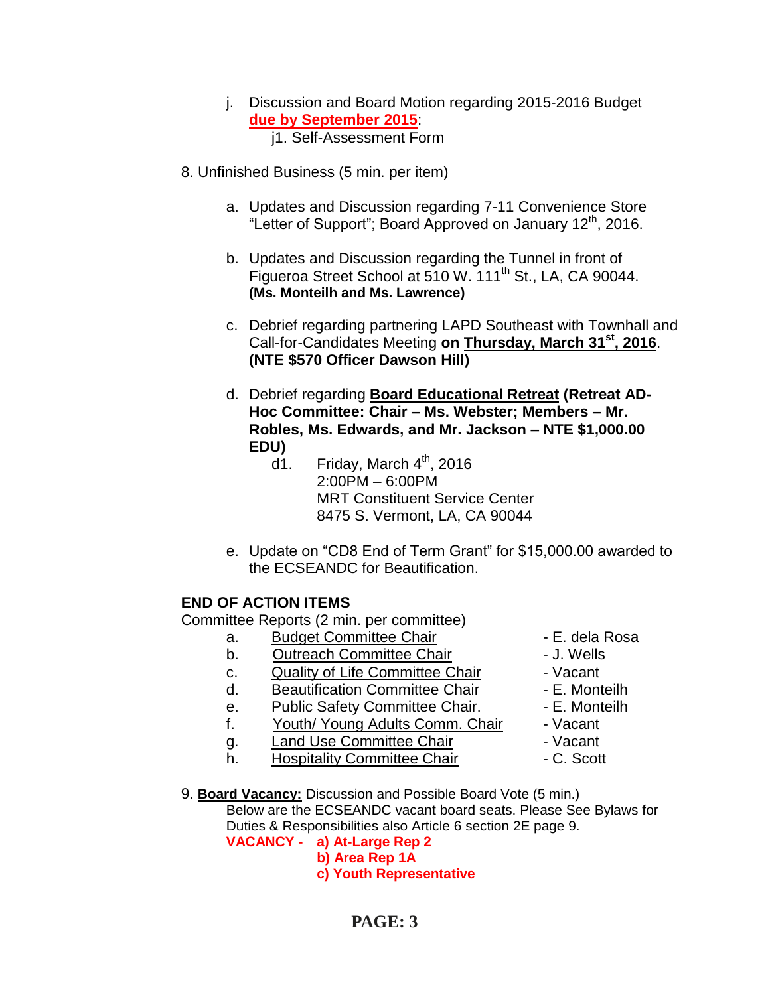- j. Discussion and Board Motion regarding 2015-2016 Budget **due by September 2015**: j1. Self-Assessment Form
- 8. Unfinished Business (5 min. per item)
	- a. Updates and Discussion regarding 7-11 Convenience Store "Letter of Support"; Board Approved on January 12<sup>th</sup>, 2016.
	- b. Updates and Discussion regarding the Tunnel in front of Figueroa Street School at 510 W. 111<sup>th</sup> St., LA, CA 90044. **(Ms. Monteilh and Ms. Lawrence)**
	- c. Debrief regarding partnering LAPD Southeast with Townhall and Call-for-Candidates Meeting **on Thursday, March 31st, 2016**. **(NTE \$570 Officer Dawson Hill)**
	- d. Debrief regarding **Board Educational Retreat (Retreat AD-Hoc Committee: Chair – Ms. Webster; Members – Mr. Robles, Ms. Edwards, and Mr. Jackson – NTE \$1,000.00 EDU)**
		- $d1.$  Friday, March  $4<sup>th</sup>$ , 2016 2:00PM – 6:00PM MRT Constituent Service Center 8475 S. Vermont, LA, CA 90044
	- e. Update on "CD8 End of Term Grant" for \$15,000.00 awarded to the ECSEANDC for Beautification.

### **END OF ACTION ITEMS**

Committee Reports (2 min. per committee)

- a. Budget Committee Chair **1988** E. dela Rosa
- b. Outreach Committee Chair **Day 1. Wells**
- c. Quality of Life Committee Chair Vacant
- d. Beautification Committee Chair F. Monteilh
- e. Public Safety Committee Chair. F. Monteilh
- f. Youth/ Young Adults Comm. Chair Vacant
- q. Land Use Committee Chair **1988** Vacant
- h. Hospitality Committee Chair  **C. Scott**
- 9. **Board Vacancy:** Discussion and Possible Board Vote (5 min.) Below are the ECSEANDC vacant board seats. Please See Bylaws for Duties & Responsibilities also Article 6 section 2E page 9. **VACANCY - a) At-Large Rep 2**
	- **b) Area Rep 1A**
		- **c) Youth Representative**
			- **PAGE: 3**
- 
- 
- 
- 
- 
- 
- 
-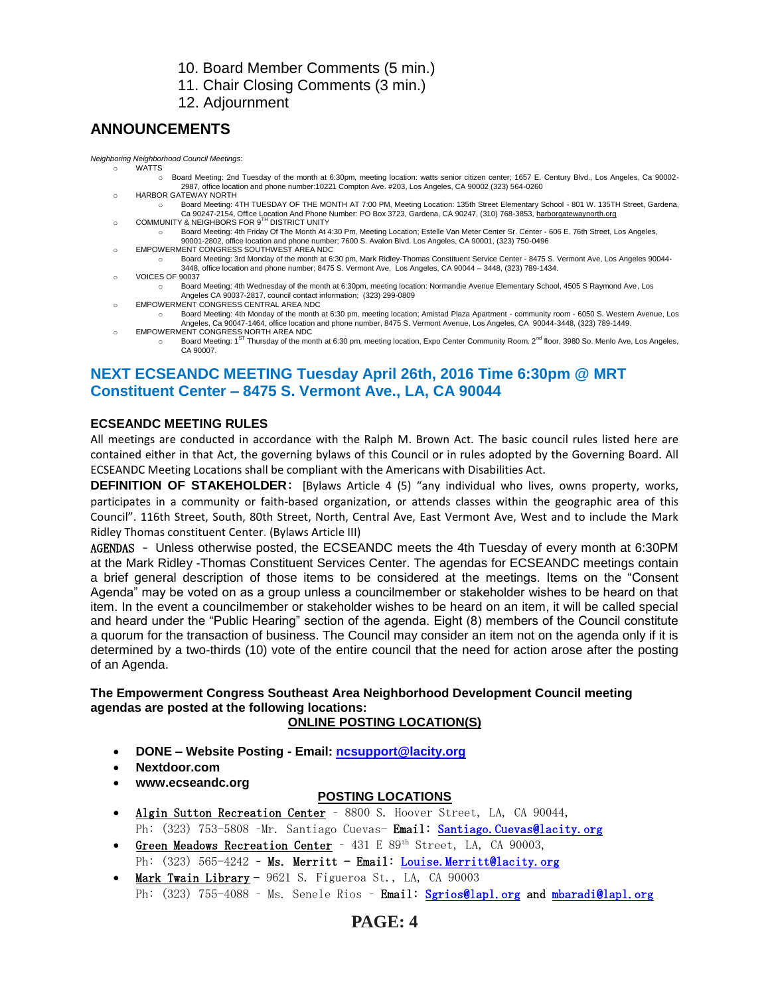10. Board Member Comments (5 min.)

11. Chair Closing Comments (3 min.)

12. Adjournment

### **ANNOUNCEMENTS**

*Neighboring Neighborhood Council Meetings:*

- **WATTS** o Board Meeting: 2nd Tuesday of the month at 6:30pm, meeting location: watts senior citizen center; 1657 E. Century Blvd., Los Angeles, Ca 90002- 2987, office location and phone number:10221 Compton Ave. #203, Los Angeles, CA 90002 (323) 564-0260
- HARBOR GATEWAY NORTH
- o Board Meeting: 4TH TUESDAY OF THE MONTH AT 7:00 PM, Meeting Location: 135th Street Elementary School 801 W. 135TH Street, Gardena, Ca 90247-2154, Office Location And Phone Number: PO Box 3723, Gardena, CA 90247, (310) 768-3853, <u>harborgatewaynorth.org وCOMMUNITY & NEIGHBORS</u> FOR 9<sup>TH</sup> DISTRICT UNITY
	- o Board Meeting: 4th Friday Of The Month At 4:30 Pm, Meeting Location; Estelle Van Meter Center Sr. Center 606 E. 76th Street, Los Angeles,
- 90001-2802, office location and phone number; 7600 S. Avalon Blvd. Los Angeles, CA 90001, (323) 750-0496 o EMPOWERMENT CONGRESS SOUTHWEST AREA NDC o Board Meeting: 3rd Monday of the month at 6:30 pm, Mark Ridley-Thomas Constituent Service Center - 8475 S. Vermont Ave, Los Angeles 90044- 3448, office location and phone number; 8475 S. Vermont Ave, Los Angeles, CA 90044 – 3448, (323) 789-1434.
- o VOICES OF 90037
	- o Board Meeting: 4th Wednesday of the month at 6:30pm, meeting location: Normandie Avenue Elementary School, 4505 S Raymond Ave, Los Angeles CA 90037-2817, council contact information; (323) 299-0809
- o EMPOWERMENT CONGRESS CENTRAL AREA NDC
	- o Board Meeting: 4th Monday of the month at 6:30 pm, meeting location; Amistad Plaza Apartment community room 6050 S. Western Avenue, Los Angeles, Ca 90047-1464, office location and phone number, 8475 S. Vermont Avenue, Los Angeles, CA 90044-3448, (323) 789-1449.
- o EMPOWERMENT CONGRESS NORTH AREA NDC o Board Meeting: 1<sup>ST</sup> Thursday of the month at 6:30 pm, meeting location, Expo Center Community Room. 2<sup>nd</sup> floor, 3980 So. Menlo Ave, Los Angeles, CA 90007.

## **NEXT ECSEANDC MEETING Tuesday April 26th, 2016 Time 6:30pm @ MRT Constituent Center – 8475 S. Vermont Ave., LA, CA 90044**

### **ECSEANDC MEETING RULES**

All meetings are conducted in accordance with the Ralph M. Brown Act. The basic council rules listed here are contained either in that Act, the governing bylaws of this Council or in rules adopted by the Governing Board. All ECSEANDC Meeting Locations shall be compliant with the Americans with Disabilities Act.

**DEFINITION OF STAKEHOLDER**: [Bylaws Article 4 (5) "any individual who lives, owns property, works, participates in a community or faith-based organization, or attends classes within the geographic area of this Council". 116th Street, South, 80th Street, North, Central Ave, East Vermont Ave, West and to include the Mark Ridley Thomas constituent Center. (Bylaws Article III)

AGENDAS – Unless otherwise posted, the ECSEANDC meets the 4th Tuesday of every month at 6:30PM at the Mark Ridley -Thomas Constituent Services Center. The agendas for ECSEANDC meetings contain a brief general description of those items to be considered at the meetings. Items on the "Consent Agenda" may be voted on as a group unless a councilmember or stakeholder wishes to be heard on that item. In the event a councilmember or stakeholder wishes to be heard on an item, it will be called special and heard under the "Public Hearing" section of the agenda. Eight (8) members of the Council constitute a quorum for the transaction of business. The Council may consider an item not on the agenda only if it is determined by a two-thirds (10) vote of the entire council that the need for action arose after the posting of an Agenda.

### **The Empowerment Congress Southeast Area Neighborhood Development Council meeting agendas are posted at the following locations:**

### **ONLINE POSTING LOCATION(S)**

- **DONE – Website Posting - Email: [ncsupport@lacity.org](mailto:ncsupport@lacity.org)**
- **Nextdoor.com**
- **www.ecseandc.org**

### **POSTING LOCATIONS**

- Algin Sutton Recreation Center 8800 S. Hoover Street, LA, CA 90044, Ph: (323) 753-5808 -Mr. Santiago Cuevas- Email: Santiago. Cuevas@lacity.org
- Green Meadows Recreation Center 431 E 89<sup>th</sup> Street, LA, CA 90003, Ph:  $(323)$  565-4242 - Ms. Merritt - Email: Louise. Merritt@lacity.org
- Mark Twain Library 9621 S. Figueroa St., LA, CA 90003 Ph: (323) 755-4088 - Ms. Senele Rios - Email: [Sgrios@lapl.org](mailto:Sgrios@lapl.org) and mbaradi@lapl.org

## **PAGE: 4**